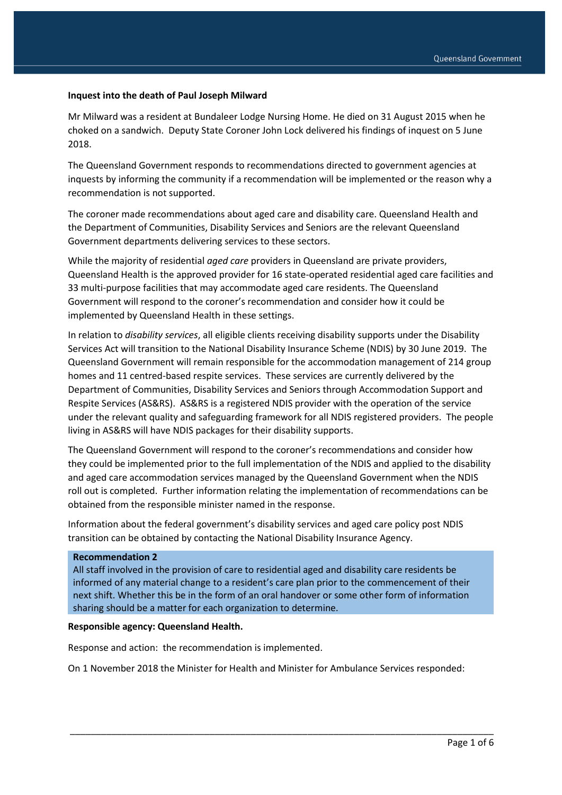### **Inquest into the death of Paul Joseph Milward**

Mr Milward was a resident at Bundaleer Lodge Nursing Home. He died on 31 August 2015 when he choked on a sandwich. Deputy State Coroner John Lock delivered his findings of inquest on 5 June 2018.

The Queensland Government responds to recommendations directed to government agencies at inquests by informing the community if a recommendation will be implemented or the reason why a recommendation is not supported.

The coroner made recommendations about aged care and disability care. Queensland Health and the Department of Communities, Disability Services and Seniors are the relevant Queensland Government departments delivering services to these sectors.

While the majority of residential *aged care* providers in Queensland are private providers, Queensland Health is the approved provider for 16 state-operated residential aged care facilities and 33 multi-purpose facilities that may accommodate aged care residents. The Queensland Government will respond to the coroner's recommendation and consider how it could be implemented by Queensland Health in these settings.

In relation to *disability services*, all eligible clients receiving disability supports under the Disability Services Act will transition to the National Disability Insurance Scheme (NDIS) by 30 June 2019. The Queensland Government will remain responsible for the accommodation management of 214 group homes and 11 centred-based respite services. These services are currently delivered by the Department of Communities, Disability Services and Seniors through Accommodation Support and Respite Services (AS&RS). AS&RS is a registered NDIS provider with the operation of the service under the relevant quality and safeguarding framework for all NDIS registered providers. The people living in AS&RS will have NDIS packages for their disability supports.

The Queensland Government will respond to the coroner's recommendations and consider how they could be implemented prior to the full implementation of the NDIS and applied to the disability and aged care accommodation services managed by the Queensland Government when the NDIS roll out is completed. Further information relating the implementation of recommendations can be obtained from the responsible minister named in the response.

Information about the federal government's disability services and aged care policy post NDIS transition can be obtained by contacting the National Disability Insurance Agency.

#### **Recommendation 2**

All staff involved in the provision of care to residential aged and disability care residents be informed of any material change to a resident's care plan prior to the commencement of their next shift. Whether this be in the form of an oral handover or some other form of information sharing should be a matter for each organization to determine.

#### **Responsible agency: Queensland Health.**

Response and action: the recommendation is implemented.

On 1 November 2018 the Minister for Health and Minister for Ambulance Services responded: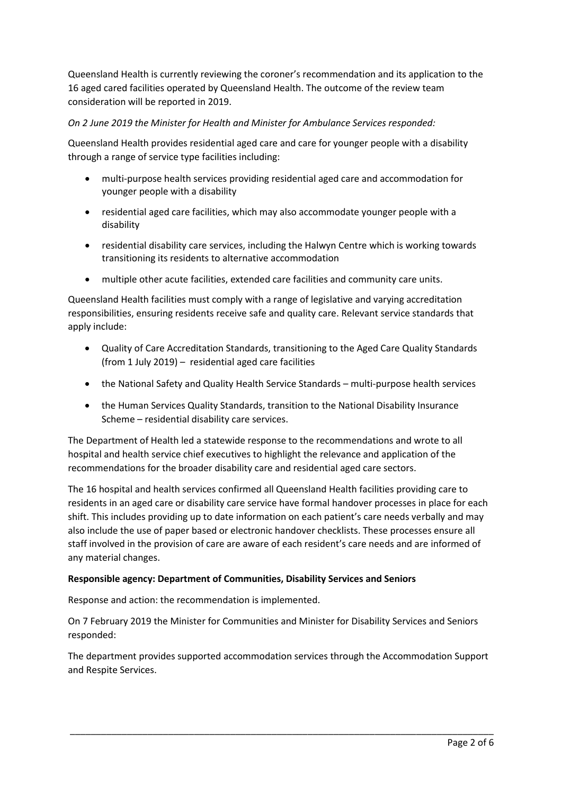Queensland Health is currently reviewing the coroner's recommendation and its application to the 16 aged cared facilities operated by Queensland Health. The outcome of the review team consideration will be reported in 2019.

# *On 2 June 2019 the Minister for Health and Minister for Ambulance Services responded:*

Queensland Health provides residential aged care and care for younger people with a disability through a range of service type facilities including:

- multi-purpose health services providing residential aged care and accommodation for younger people with a disability
- residential aged care facilities, which may also accommodate younger people with a disability
- residential disability care services, including the Halwyn Centre which is working towards transitioning its residents to alternative accommodation
- multiple other acute facilities, extended care facilities and community care units.

Queensland Health facilities must comply with a range of legislative and varying accreditation responsibilities, ensuring residents receive safe and quality care. Relevant service standards that apply include:

- Quality of Care Accreditation Standards, transitioning to the Aged Care Quality Standards (from 1 July 2019) – residential aged care facilities
- the National Safety and Quality Health Service Standards multi-purpose health services
- the Human Services Quality Standards, transition to the National Disability Insurance Scheme – residential disability care services.

The Department of Health led a statewide response to the recommendations and wrote to all hospital and health service chief executives to highlight the relevance and application of the recommendations for the broader disability care and residential aged care sectors.

The 16 hospital and health services confirmed all Queensland Health facilities providing care to residents in an aged care or disability care service have formal handover processes in place for each shift. This includes providing up to date information on each patient's care needs verbally and may also include the use of paper based or electronic handover checklists. These processes ensure all staff involved in the provision of care are aware of each resident's care needs and are informed of any material changes.

### **Responsible agency: Department of Communities, Disability Services and Seniors**

Response and action: the recommendation is implemented.

On 7 February 2019 the Minister for Communities and Minister for Disability Services and Seniors responded:

The department provides supported accommodation services through the Accommodation Support and Respite Services.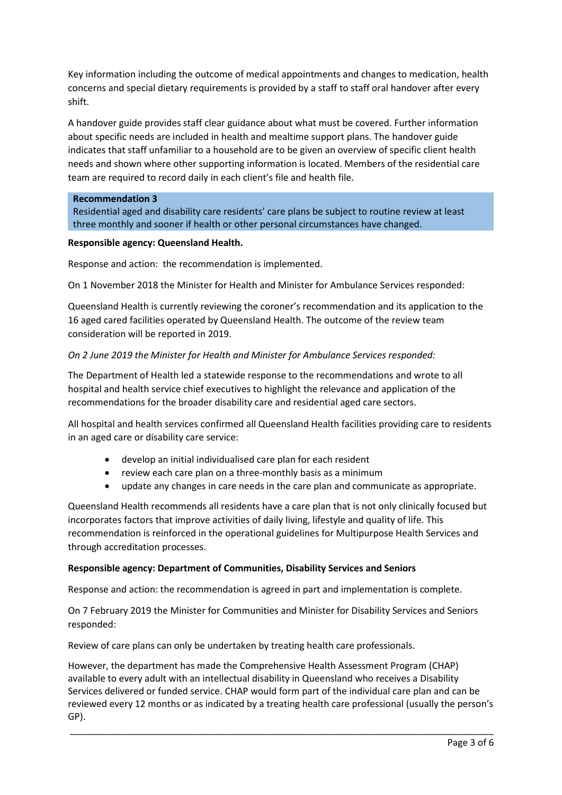Key information including the outcome of medical appointments and changes to medication, health concerns and special dietary requirements is provided by a staff to staff oral handover after every shift.

A handover guide provides staff clear guidance about what must be covered. Further information about specific needs are included in health and mealtime support plans. The handover guide indicates that staff unfamiliar to a household are to be given an overview of specific client health needs and shown where other supporting information is located. Members of the residential care team are required to record daily in each client's file and health file.

### **Recommendation 3**

Residential aged and disability care residents' care plans be subject to routine review at least three monthly and sooner if health or other personal circumstances have changed.

#### **Responsible agency: Queensland Health.**

Response and action: the recommendation is implemented.

On 1 November 2018 the Minister for Health and Minister for Ambulance Services responded:

Queensland Health is currently reviewing the coroner's recommendation and its application to the 16 aged cared facilities operated by Queensland Health. The outcome of the review team consideration will be reported in 2019.

### *On 2 June 2019 the Minister for Health and Minister for Ambulance Services responded:*

The Department of Health led a statewide response to the recommendations and wrote to all hospital and health service chief executives to highlight the relevance and application of the recommendations for the broader disability care and residential aged care sectors.

All hospital and health services confirmed all Queensland Health facilities providing care to residents in an aged care or disability care service:

- develop an initial individualised care plan for each resident
- review each care plan on a three-monthly basis as a minimum
- update any changes in care needs in the care plan and communicate as appropriate.

Queensland Health recommends all residents have a care plan that is not only clinically focused but incorporates factors that improve activities of daily living, lifestyle and quality of life. This recommendation is reinforced in the operational guidelines for Multipurpose Health Services and through accreditation processes.

#### **Responsible agency: Department of Communities, Disability Services and Seniors**

Response and action: the recommendation is agreed in part and implementation is complete.

On 7 February 2019 the Minister for Communities and Minister for Disability Services and Seniors responded:

Review of care plans can only be undertaken by treating health care professionals.

However, the department has made the Comprehensive Health Assessment Program (CHAP) available to every adult with an intellectual disability in Queensland who receives a Disability Services delivered or funded service. CHAP would form part of the individual care plan and can be reviewed every 12 months or as indicated by a treating health care professional (usually the person's GP).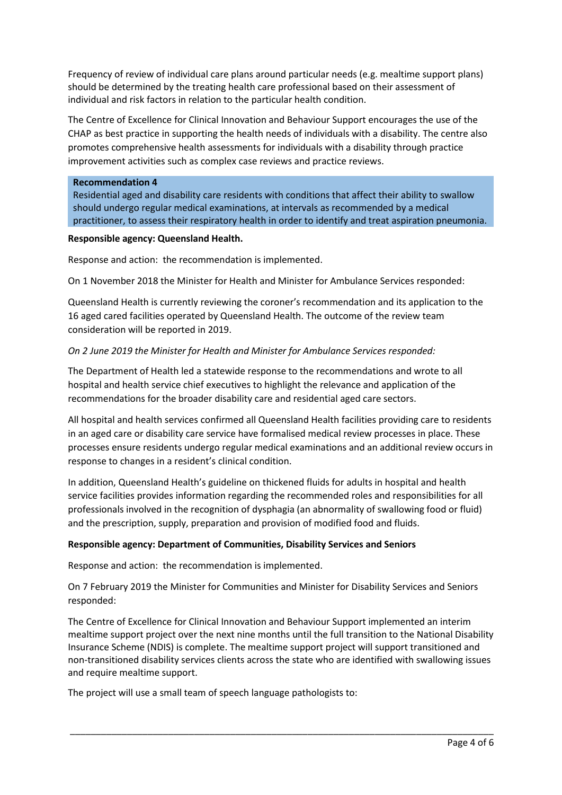Frequency of review of individual care plans around particular needs (e.g. mealtime support plans) should be determined by the treating health care professional based on their assessment of individual and risk factors in relation to the particular health condition.

The Centre of Excellence for Clinical Innovation and Behaviour Support encourages the use of the CHAP as best practice in supporting the health needs of individuals with a disability. The centre also promotes comprehensive health assessments for individuals with a disability through practice improvement activities such as complex case reviews and practice reviews.

### **Recommendation 4**

Residential aged and disability care residents with conditions that affect their ability to swallow should undergo regular medical examinations, at intervals as recommended by a medical practitioner, to assess their respiratory health in order to identify and treat aspiration pneumonia.

### **Responsible agency: Queensland Health.**

Response and action: the recommendation is implemented.

On 1 November 2018 the Minister for Health and Minister for Ambulance Services responded:

Queensland Health is currently reviewing the coroner's recommendation and its application to the 16 aged cared facilities operated by Queensland Health. The outcome of the review team consideration will be reported in 2019.

# *On 2 June 2019 the Minister for Health and Minister for Ambulance Services responded:*

The Department of Health led a statewide response to the recommendations and wrote to all hospital and health service chief executives to highlight the relevance and application of the recommendations for the broader disability care and residential aged care sectors.

All hospital and health services confirmed all Queensland Health facilities providing care to residents in an aged care or disability care service have formalised medical review processes in place. These processes ensure residents undergo regular medical examinations and an additional review occurs in response to changes in a resident's clinical condition.

In addition, Queensland Health's guideline on thickened fluids for adults in hospital and health service facilities provides information regarding the recommended roles and responsibilities for all professionals involved in the recognition of dysphagia (an abnormality of swallowing food or fluid) and the prescription, supply, preparation and provision of modified food and fluids.

# **Responsible agency: Department of Communities, Disability Services and Seniors**

Response and action: the recommendation is implemented.

On 7 February 2019 the Minister for Communities and Minister for Disability Services and Seniors responded:

The Centre of Excellence for Clinical Innovation and Behaviour Support implemented an interim mealtime support project over the next nine months until the full transition to the National Disability Insurance Scheme (NDIS) is complete. The mealtime support project will support transitioned and non-transitioned disability services clients across the state who are identified with swallowing issues and require mealtime support.

\_\_\_\_\_\_\_\_\_\_\_\_\_\_\_\_\_\_\_\_\_\_\_\_\_\_\_\_\_\_\_\_\_\_\_\_\_\_\_\_\_\_\_\_\_\_\_\_\_\_\_\_\_\_\_\_\_\_\_\_\_\_\_\_\_\_\_\_\_\_\_\_\_\_\_\_\_\_\_\_\_\_

The project will use a small team of speech language pathologists to: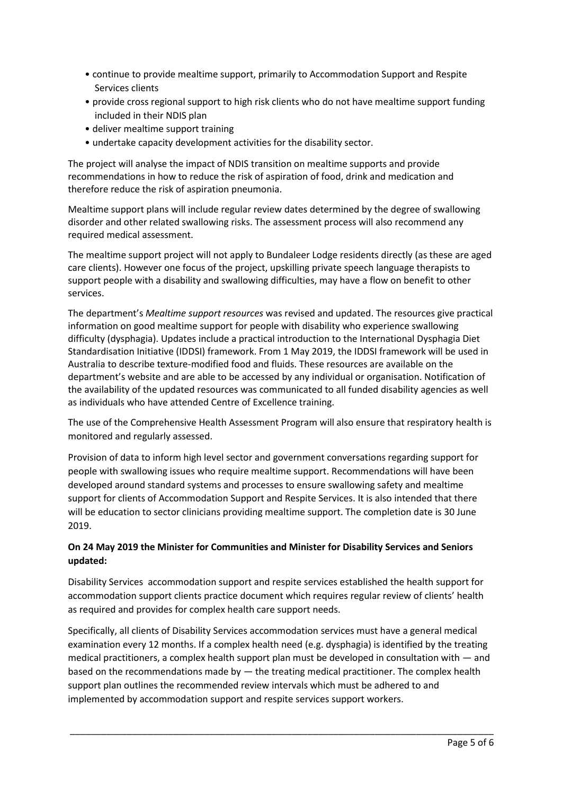- continue to provide mealtime support, primarily to Accommodation Support and Respite Services clients
- provide cross regional support to high risk clients who do not have mealtime support funding included in their NDIS plan
- deliver mealtime support training
- undertake capacity development activities for the disability sector.

The project will analyse the impact of NDIS transition on mealtime supports and provide recommendations in how to reduce the risk of aspiration of food, drink and medication and therefore reduce the risk of aspiration pneumonia.

Mealtime support plans will include regular review dates determined by the degree of swallowing disorder and other related swallowing risks. The assessment process will also recommend any required medical assessment.

The mealtime support project will not apply to Bundaleer Lodge residents directly (as these are aged care clients). However one focus of the project, upskilling private speech language therapists to support people with a disability and swallowing difficulties, may have a flow on benefit to other services.

The department's *Mealtime support resources* was revised and updated. The resources give practical information on good mealtime support for people with disability who experience swallowing difficulty (dysphagia). Updates include a practical introduction to the International Dysphagia Diet Standardisation Initiative (IDDSI) framework. From 1 May 2019, the IDDSI framework will be used in Australia to describe texture-modified food and fluids. These resources are available on the department's website and are able to be accessed by any individual or organisation. Notification of the availability of the updated resources was communicated to all funded disability agencies as well as individuals who have attended Centre of Excellence training.

The use of the Comprehensive Health Assessment Program will also ensure that respiratory health is monitored and regularly assessed.

Provision of data to inform high level sector and government conversations regarding support for people with swallowing issues who require mealtime support. Recommendations will have been developed around standard systems and processes to ensure swallowing safety and mealtime support for clients of Accommodation Support and Respite Services. It is also intended that there will be education to sector clinicians providing mealtime support. The completion date is 30 June 2019.

# **On 24 May 2019 the Minister for Communities and Minister for Disability Services and Seniors updated:**

Disability Services accommodation support and respite services established the health support for accommodation support clients practice document which requires regular review of clients' health as required and provides for complex health care support needs.

Specifically, all clients of Disability Services accommodation services must have a general medical examination every 12 months. If a complex health need (e.g. dysphagia) is identified by the treating medical practitioners, a complex health support plan must be developed in consultation with — and based on the recommendations made by  $-$  the treating medical practitioner. The complex health support plan outlines the recommended review intervals which must be adhered to and implemented by accommodation support and respite services support workers.